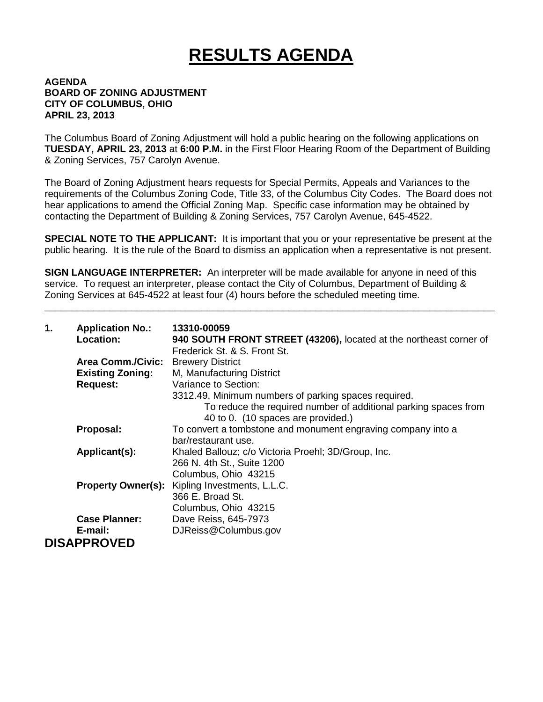## **RESULTS AGENDA**

## **AGENDA BOARD OF ZONING ADJUSTMENT CITY OF COLUMBUS, OHIO APRIL 23, 2013**

The Columbus Board of Zoning Adjustment will hold a public hearing on the following applications on **TUESDAY, APRIL 23, 2013** at **6:00 P.M.** in the First Floor Hearing Room of the Department of Building & Zoning Services, 757 Carolyn Avenue.

The Board of Zoning Adjustment hears requests for Special Permits, Appeals and Variances to the requirements of the Columbus Zoning Code, Title 33, of the Columbus City Codes. The Board does not hear applications to amend the Official Zoning Map. Specific case information may be obtained by contacting the Department of Building & Zoning Services, 757 Carolyn Avenue, 645-4522.

**SPECIAL NOTE TO THE APPLICANT:** It is important that you or your representative be present at the public hearing. It is the rule of the Board to dismiss an application when a representative is not present.

**SIGN LANGUAGE INTERPRETER:** An interpreter will be made available for anyone in need of this service. To request an interpreter, please contact the City of Columbus, Department of Building & Zoning Services at 645-4522 at least four (4) hours before the scheduled meeting time.

\_\_\_\_\_\_\_\_\_\_\_\_\_\_\_\_\_\_\_\_\_\_\_\_\_\_\_\_\_\_\_\_\_\_\_\_\_\_\_\_\_\_\_\_\_\_\_\_\_\_\_\_\_\_\_\_\_\_\_\_\_\_\_\_\_\_\_\_\_\_\_\_\_\_\_\_\_\_\_\_\_\_\_

| 1. | <b>Application No.:</b><br><b>Location:</b> | 13310-00059<br>940 SOUTH FRONT STREET (43206), located at the northeast corner of                     |
|----|---------------------------------------------|-------------------------------------------------------------------------------------------------------|
|    | <b>Area Comm./Civic:</b>                    | Frederick St. & S. Front St.<br><b>Brewery District</b>                                               |
|    | <b>Existing Zoning:</b>                     | M, Manufacturing District                                                                             |
|    | <b>Request:</b>                             | Variance to Section:                                                                                  |
|    |                                             | 3312.49, Minimum numbers of parking spaces required.                                                  |
|    |                                             | To reduce the required number of additional parking spaces from<br>40 to 0. (10 spaces are provided.) |
|    | Proposal:                                   | To convert a tombstone and monument engraving company into a                                          |
|    |                                             | bar/restaurant use.                                                                                   |
|    | Applicant(s):                               | Khaled Ballouz; c/o Victoria Proehl; 3D/Group, Inc.                                                   |
|    |                                             | 266 N. 4th St., Suite 1200                                                                            |
|    |                                             | Columbus, Ohio 43215                                                                                  |
|    |                                             | Property Owner(s): Kipling Investments, L.L.C.                                                        |
|    |                                             | 366 E. Broad St.                                                                                      |
|    |                                             | Columbus, Ohio 43215                                                                                  |
|    | <b>Case Planner:</b>                        | Dave Reiss, 645-7973                                                                                  |
|    | E-mail:                                     | DJReiss@Columbus.gov                                                                                  |
|    | <b>DISAPPROVED</b>                          |                                                                                                       |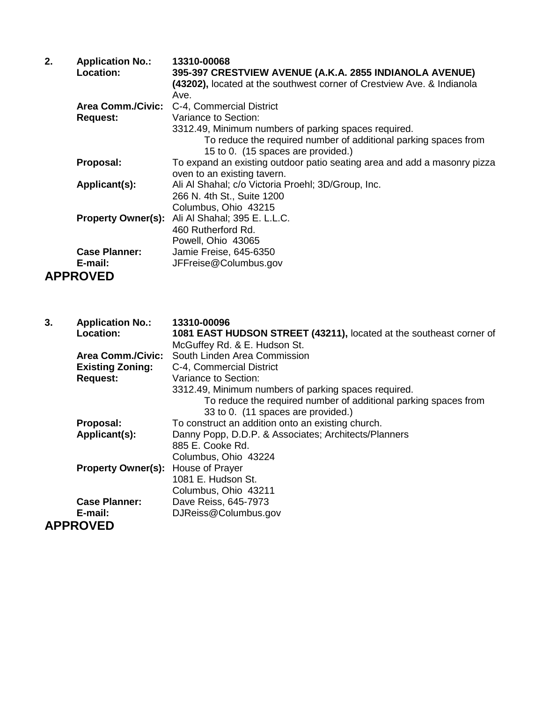| 2. | <b>Application No.:</b>  | 13310-00068                                                              |
|----|--------------------------|--------------------------------------------------------------------------|
|    | Location:                | 395-397 CRESTVIEW AVENUE (A.K.A. 2855 INDIANOLA AVENUE)                  |
|    |                          | (43202), located at the southwest corner of Crestview Ave. & Indianola   |
|    |                          | Ave.                                                                     |
|    | <b>Area Comm./Civic:</b> | C-4, Commercial District                                                 |
|    | <b>Request:</b>          | Variance to Section:                                                     |
|    |                          | 3312.49, Minimum numbers of parking spaces required.                     |
|    |                          | To reduce the required number of additional parking spaces from          |
|    |                          | 15 to 0. (15 spaces are provided.)                                       |
|    | Proposal:                | To expand an existing outdoor patio seating area and add a masonry pizza |
|    |                          | oven to an existing tavern.                                              |
|    | Applicant(s):            | Ali Al Shahal; c/o Victoria Proehl; 3D/Group, Inc.                       |
|    |                          | 266 N. 4th St., Suite 1200                                               |
|    |                          | Columbus, Ohio 43215                                                     |
|    |                          | Property Owner(s): Ali Al Shahal; 395 E. L.L.C.                          |
|    |                          | 460 Rutherford Rd.                                                       |
|    |                          | Powell, Ohio 43065                                                       |
|    | <b>Case Planner:</b>     | Jamie Freise, 645-6350                                                   |
|    | E-mail:                  | JFFreise@Columbus.gov                                                    |
|    | <b>APPROVED</b>          |                                                                          |

| 3. | <b>Application No.:</b>   | 13310-00096                                                         |
|----|---------------------------|---------------------------------------------------------------------|
|    | Location:                 | 1081 EAST HUDSON STREET (43211), located at the southeast corner of |
|    |                           | McGuffey Rd. & E. Hudson St.                                        |
|    | <b>Area Comm./Civic:</b>  | South Linden Area Commission                                        |
|    | <b>Existing Zoning:</b>   | C-4, Commercial District                                            |
|    | <b>Request:</b>           | Variance to Section:                                                |
|    |                           | 3312.49, Minimum numbers of parking spaces required.                |
|    |                           | To reduce the required number of additional parking spaces from     |
|    |                           | 33 to 0. (11 spaces are provided.)                                  |
|    | Proposal:                 | To construct an addition onto an existing church.                   |
|    | Applicant(s):             | Danny Popp, D.D.P. & Associates; Architects/Planners                |
|    |                           | 885 E. Cooke Rd.                                                    |
|    |                           | Columbus, Ohio 43224                                                |
|    | <b>Property Owner(s):</b> | House of Prayer                                                     |
|    |                           | 1081 E. Hudson St.                                                  |
|    |                           | Columbus, Ohio 43211                                                |
|    | <b>Case Planner:</b>      | Dave Reiss, 645-7973                                                |
|    | E-mail:                   | DJReiss@Columbus.gov                                                |
|    | <b>APPROVED</b>           |                                                                     |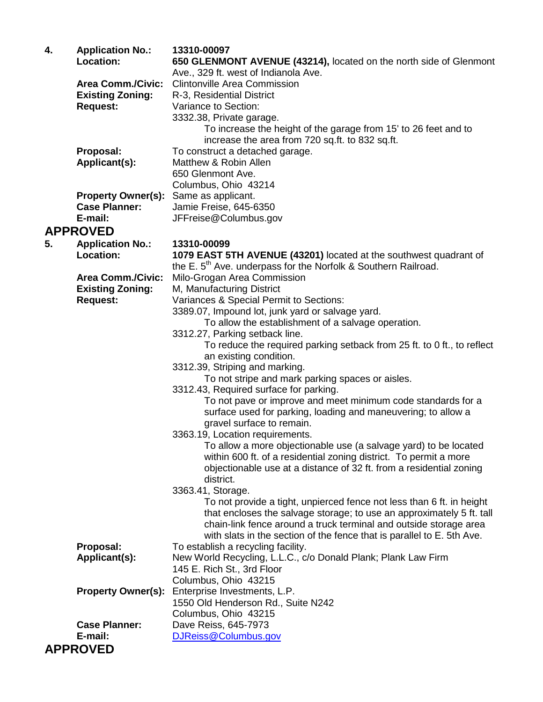| 4. | <b>Application No.:</b>   | 13310-00097                                                                |
|----|---------------------------|----------------------------------------------------------------------------|
|    | <b>Location:</b>          | 650 GLENMONT AVENUE (43214), located on the north side of Glenmont         |
|    |                           | Ave., 329 ft. west of Indianola Ave.                                       |
|    | <b>Area Comm./Civic:</b>  | <b>Clintonville Area Commission</b>                                        |
|    | <b>Existing Zoning:</b>   | R-3, Residential District                                                  |
|    | <b>Request:</b>           | Variance to Section:                                                       |
|    |                           | 3332.38, Private garage.                                                   |
|    |                           | To increase the height of the garage from 15' to 26 feet and to            |
|    |                           | increase the area from 720 sq.ft. to 832 sq.ft.                            |
|    | Proposal:                 | To construct a detached garage.                                            |
|    | Applicant(s):             | Matthew & Robin Allen                                                      |
|    |                           | 650 Glenmont Ave.                                                          |
|    |                           | Columbus, Ohio 43214                                                       |
|    | <b>Property Owner(s):</b> | Same as applicant.                                                         |
|    | <b>Case Planner:</b>      | Jamie Freise, 645-6350                                                     |
|    | E-mail:                   | JFFreise@Columbus.gov                                                      |
|    | <b>APPROVED</b>           |                                                                            |
|    |                           |                                                                            |
| 5. | <b>Application No.:</b>   | 13310-00099                                                                |
|    | <b>Location:</b>          | 1079 EAST 5TH AVENUE (43201) located at the southwest quadrant of          |
|    |                           | the E. 5 <sup>th</sup> Ave. underpass for the Norfolk & Southern Railroad. |
|    | <b>Area Comm./Civic:</b>  | Milo-Grogan Area Commission                                                |
|    | <b>Existing Zoning:</b>   | M, Manufacturing District                                                  |
|    | <b>Request:</b>           | Variances & Special Permit to Sections:                                    |
|    |                           | 3389.07, Impound lot, junk yard or salvage yard.                           |
|    |                           | To allow the establishment of a salvage operation.                         |
|    |                           | 3312.27, Parking setback line.                                             |
|    |                           | To reduce the required parking setback from 25 ft. to 0 ft., to reflect    |
|    |                           | an existing condition.                                                     |
|    |                           | 3312.39, Striping and marking.                                             |
|    |                           | To not stripe and mark parking spaces or aisles.                           |
|    |                           | 3312.43, Required surface for parking.                                     |
|    |                           | To not pave or improve and meet minimum code standards for a               |
|    |                           | surface used for parking, loading and maneuvering; to allow a              |
|    |                           | gravel surface to remain.                                                  |
|    |                           | 3363.19, Location requirements.                                            |
|    |                           | To allow a more objectionable use (a salvage yard) to be located           |
|    |                           | within 600 ft. of a residential zoning district. To permit a more          |
|    |                           | objectionable use at a distance of 32 ft. from a residential zoning        |
|    |                           | district.                                                                  |
|    |                           | 3363.41, Storage.                                                          |
|    |                           | To not provide a tight, unpierced fence not less than 6 ft. in height      |
|    |                           | that encloses the salvage storage; to use an approximately 5 ft. tall      |
|    |                           | chain-link fence around a truck terminal and outside storage area          |
|    |                           | with slats in the section of the fence that is parallel to E. 5th Ave.     |
|    | Proposal:                 | To establish a recycling facility.                                         |
|    | Applicant(s):             | New World Recycling, L.L.C., c/o Donald Plank; Plank Law Firm              |
|    |                           | 145 E. Rich St., 3rd Floor                                                 |
|    |                           | Columbus, Ohio 43215                                                       |
|    | <b>Property Owner(s):</b> | Enterprise Investments, L.P.                                               |
|    |                           | 1550 Old Henderson Rd., Suite N242                                         |
|    |                           | Columbus, Ohio 43215                                                       |
|    | <b>Case Planner:</b>      | Dave Reiss, 645-7973                                                       |
|    | E-mail:                   | DJReiss@Columbus.gov                                                       |
|    | <b>APPROVED</b>           |                                                                            |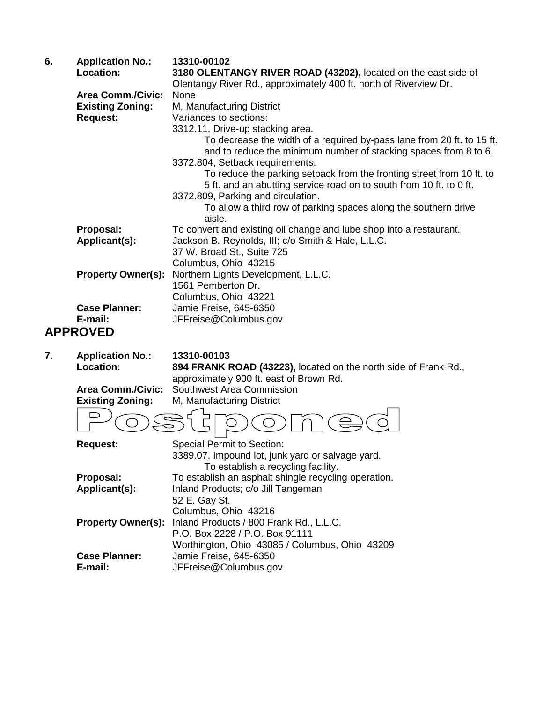| 6. | <b>Application No.:</b>         | 13310-00102                                                                                                                                  |
|----|---------------------------------|----------------------------------------------------------------------------------------------------------------------------------------------|
|    | Location:                       | 3180 OLENTANGY RIVER ROAD (43202), located on the east side of<br>Olentangy River Rd., approximately 400 ft. north of Riverview Dr.          |
|    | <b>Area Comm./Civic:</b>        | None                                                                                                                                         |
|    | <b>Existing Zoning:</b>         | M, Manufacturing District                                                                                                                    |
|    | <b>Request:</b>                 | Variances to sections:                                                                                                                       |
|    |                                 | 3312.11, Drive-up stacking area.                                                                                                             |
|    |                                 | To decrease the width of a required by-pass lane from 20 ft. to 15 ft.<br>and to reduce the minimum number of stacking spaces from 8 to 6.   |
|    |                                 | 3372.804, Setback requirements.                                                                                                              |
|    |                                 | To reduce the parking setback from the fronting street from 10 ft. to<br>5 ft. and an abutting service road on to south from 10 ft. to 0 ft. |
|    |                                 | 3372.809, Parking and circulation.                                                                                                           |
|    |                                 | To allow a third row of parking spaces along the southern drive<br>aisle.                                                                    |
|    | Proposal:                       | To convert and existing oil change and lube shop into a restaurant.                                                                          |
|    | Applicant(s):                   | Jackson B. Reynolds, III; c/o Smith & Hale, L.L.C.                                                                                           |
|    |                                 | 37 W. Broad St., Suite 725                                                                                                                   |
|    |                                 | Columbus, Ohio 43215                                                                                                                         |
|    | <b>Property Owner(s):</b>       | Northern Lights Development, L.L.C.                                                                                                          |
|    |                                 | 1561 Pemberton Dr.                                                                                                                           |
|    |                                 | Columbus, Ohio 43221                                                                                                                         |
|    | <b>Case Planner:</b><br>E-mail: | Jamie Freise, 645-6350                                                                                                                       |
|    |                                 | JFFreise@Columbus.gov                                                                                                                        |
|    | <b>APPROVED</b>                 |                                                                                                                                              |
| 7. | <b>Application No.:</b>         | 13310-00103                                                                                                                                  |
|    | Location:                       | 894 FRANK ROAD (43223), located on the north side of Frank Rd.,                                                                              |
|    |                                 | approximately 900 ft. east of Brown Rd.                                                                                                      |
|    | <b>Area Comm./Civic:</b>        | Southwest Area Commission                                                                                                                    |
|    | <b>Existing Zoning:</b>         | M, Manufacturing District                                                                                                                    |
|    |                                 |                                                                                                                                              |

| <b>Request:</b>           | <b>Special Permit to Section:</b>                    |
|---------------------------|------------------------------------------------------|
|                           | 3389.07, Impound lot, junk yard or salvage yard.     |
|                           | To establish a recycling facility.                   |
| Proposal:                 | To establish an asphalt shingle recycling operation. |
| Applicant(s):             | Inland Products; c/o Jill Tangeman                   |
|                           | 52 E. Gay St.                                        |
|                           | Columbus, Ohio 43216                                 |
| <b>Property Owner(s):</b> | Inland Products / 800 Frank Rd., L.L.C.              |
|                           | P.O. Box 2228 / P.O. Box 91111                       |
|                           | Worthington, Ohio 43085 / Columbus, Ohio 43209       |
| <b>Case Planner:</b>      | Jamie Freise, 645-6350                               |
| E-mail:                   | JFFreise@Columbus.gov                                |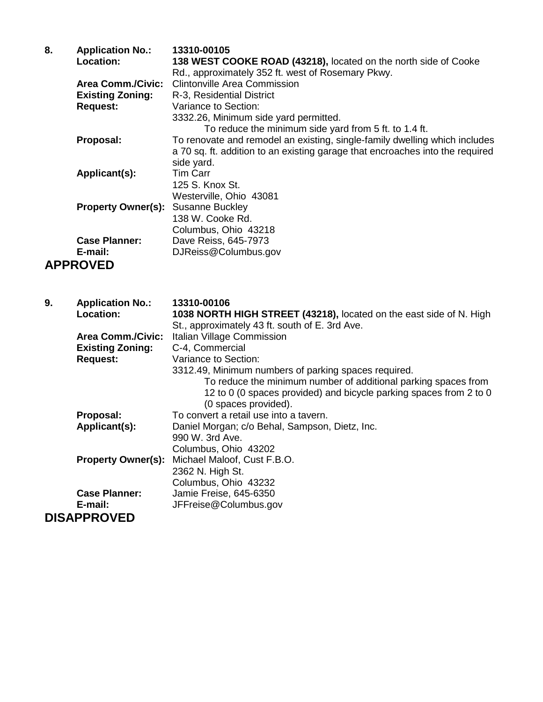| 8. | <b>Application No.:</b>                   | 13310-00105                                                                   |
|----|-------------------------------------------|-------------------------------------------------------------------------------|
|    | Location:                                 | 138 WEST COOKE ROAD (43218), located on the north side of Cooke               |
|    |                                           | Rd., approximately 352 ft. west of Rosemary Pkwy.                             |
|    | <b>Area Comm./Civic:</b>                  | Clintonville Area Commission                                                  |
|    | <b>Existing Zoning:</b>                   | R-3, Residential District                                                     |
|    | <b>Request:</b>                           | Variance to Section:                                                          |
|    |                                           | 3332.26, Minimum side yard permitted.                                         |
|    |                                           | To reduce the minimum side yard from 5 ft. to 1.4 ft.                         |
|    | Proposal:                                 | To renovate and remodel an existing, single-family dwelling which includes    |
|    |                                           | a 70 sq. ft. addition to an existing garage that encroaches into the required |
|    |                                           | side yard.                                                                    |
|    | Applicant(s):                             | <b>Tim Carr</b>                                                               |
|    |                                           | 125 S. Knox St.                                                               |
|    |                                           | Westerville, Ohio 43081                                                       |
|    | <b>Property Owner(s):</b> Susanne Buckley |                                                                               |
|    |                                           | 138 W. Cooke Rd.                                                              |
|    |                                           | Columbus, Ohio 43218                                                          |
|    | <b>Case Planner:</b>                      | Dave Reiss, 645-7973                                                          |
|    | E-mail:                                   | DJReiss@Columbus.gov                                                          |
|    | <b>APPROVED</b>                           |                                                                               |

| 9. | <b>Application No.:</b>  | 13310-00106                                                         |
|----|--------------------------|---------------------------------------------------------------------|
|    | Location:                | 1038 NORTH HIGH STREET (43218), located on the east side of N. High |
|    |                          | St., approximately 43 ft. south of E. 3rd Ave.                      |
|    | <b>Area Comm./Civic:</b> | Italian Village Commission                                          |
|    | <b>Existing Zoning:</b>  | C-4, Commercial                                                     |
|    | <b>Request:</b>          | Variance to Section:                                                |
|    |                          | 3312.49, Minimum numbers of parking spaces required.                |
|    |                          | To reduce the minimum number of additional parking spaces from      |
|    |                          | 12 to 0 (0 spaces provided) and bicycle parking spaces from 2 to 0  |
|    |                          | (0 spaces provided).                                                |
|    | Proposal:                | To convert a retail use into a tavern.                              |
|    | Applicant(s):            | Daniel Morgan; c/o Behal, Sampson, Dietz, Inc.                      |
|    |                          | 990 W. 3rd Ave.                                                     |
|    |                          | Columbus, Ohio 43202                                                |
|    |                          | <b>Property Owner(s):</b> Michael Maloof, Cust F.B.O.               |
|    |                          | 2362 N. High St.                                                    |
|    |                          | Columbus, Ohio 43232                                                |
|    | <b>Case Planner:</b>     | Jamie Freise, 645-6350                                              |
|    | E-mail:                  | JFFreise@Columbus.gov                                               |
|    | <b>DISAPPROVED</b>       |                                                                     |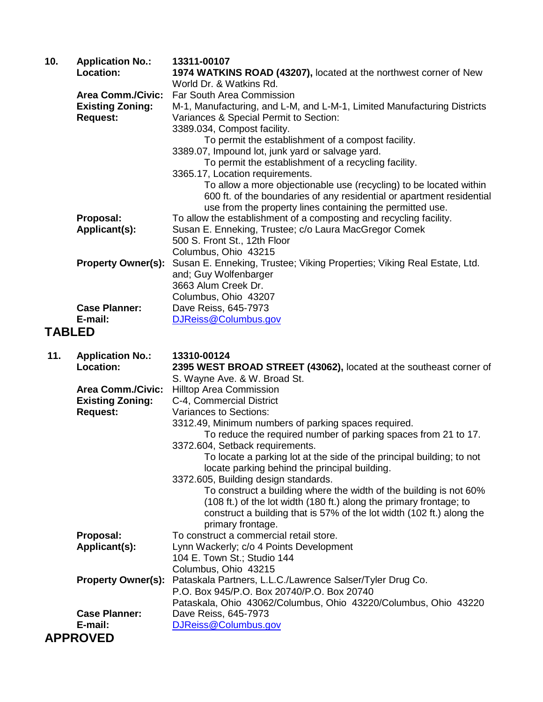| 10.           | <b>Application No.:</b>                                                | 13311-00107                                                                                                                                                                                                                                                                                                                                                                                                                                                                                                                              |
|---------------|------------------------------------------------------------------------|------------------------------------------------------------------------------------------------------------------------------------------------------------------------------------------------------------------------------------------------------------------------------------------------------------------------------------------------------------------------------------------------------------------------------------------------------------------------------------------------------------------------------------------|
|               | Location:                                                              | 1974 WATKINS ROAD (43207), located at the northwest corner of New<br>World Dr. & Watkins Rd.                                                                                                                                                                                                                                                                                                                                                                                                                                             |
|               | <b>Area Comm./Civic:</b><br><b>Existing Zoning:</b><br><b>Request:</b> | <b>Far South Area Commission</b><br>M-1, Manufacturing, and L-M, and L-M-1, Limited Manufacturing Districts<br>Variances & Special Permit to Section:<br>3389.034, Compost facility.<br>To permit the establishment of a compost facility.<br>3389.07, Impound lot, junk yard or salvage yard.<br>To permit the establishment of a recycling facility.<br>3365.17, Location requirements.<br>To allow a more objectionable use (recycling) to be located within<br>600 ft. of the boundaries of any residential or apartment residential |
|               |                                                                        | use from the property lines containing the permitted use.                                                                                                                                                                                                                                                                                                                                                                                                                                                                                |
|               | Proposal:<br>Applicant(s):                                             | To allow the establishment of a composting and recycling facility.<br>Susan E. Enneking, Trustee; c/o Laura MacGregor Comek<br>500 S. Front St., 12th Floor<br>Columbus, Ohio 43215                                                                                                                                                                                                                                                                                                                                                      |
|               | <b>Property Owner(s):</b>                                              | Susan E. Enneking, Trustee; Viking Properties; Viking Real Estate, Ltd.<br>and; Guy Wolfenbarger<br>3663 Alum Creek Dr.<br>Columbus, Ohio 43207                                                                                                                                                                                                                                                                                                                                                                                          |
|               | <b>Case Planner:</b>                                                   | Dave Reiss, 645-7973                                                                                                                                                                                                                                                                                                                                                                                                                                                                                                                     |
|               | E-mail:                                                                | DJReiss@Columbus.gov                                                                                                                                                                                                                                                                                                                                                                                                                                                                                                                     |
| <b>TABLED</b> |                                                                        |                                                                                                                                                                                                                                                                                                                                                                                                                                                                                                                                          |
| 11.           | <b>Application No.:</b><br>Location:                                   | 13310-00124<br>2395 WEST BROAD STREET (43062), located at the southeast corner of<br>S. Wayne Ave. & W. Broad St.                                                                                                                                                                                                                                                                                                                                                                                                                        |
|               | <b>Area Comm./Civic:</b>                                               | <b>Hilltop Area Commission</b>                                                                                                                                                                                                                                                                                                                                                                                                                                                                                                           |
|               | <b>Existing Zoning:</b>                                                | C-4, Commercial District                                                                                                                                                                                                                                                                                                                                                                                                                                                                                                                 |
|               | <b>Request:</b>                                                        | Variances to Sections:                                                                                                                                                                                                                                                                                                                                                                                                                                                                                                                   |
|               |                                                                        | 3312.49, Minimum numbers of parking spaces required.                                                                                                                                                                                                                                                                                                                                                                                                                                                                                     |
|               |                                                                        | To reduce the required number of parking spaces from 21 to 17.                                                                                                                                                                                                                                                                                                                                                                                                                                                                           |
|               |                                                                        | 3372.604, Setback requirements.<br>To locate a parking lot at the side of the principal building; to not<br>locate parking behind the principal building.                                                                                                                                                                                                                                                                                                                                                                                |
|               |                                                                        | 3372.605, Building design standards.<br>To construct a building where the width of the building is not 60%<br>(108 ft.) of the lot width (180 ft.) along the primary frontage; to<br>construct a building that is 57% of the lot width (102 ft.) along the<br>primary frontage.                                                                                                                                                                                                                                                          |
|               | Proposal:                                                              | To construct a commercial retail store.                                                                                                                                                                                                                                                                                                                                                                                                                                                                                                  |
|               | Applicant(s):                                                          | Lynn Wackerly; c/o 4 Points Development                                                                                                                                                                                                                                                                                                                                                                                                                                                                                                  |
|               |                                                                        | 104 E. Town St.; Studio 144                                                                                                                                                                                                                                                                                                                                                                                                                                                                                                              |
|               |                                                                        | Columbus, Ohio 43215                                                                                                                                                                                                                                                                                                                                                                                                                                                                                                                     |
|               | <b>Property Owner(s):</b>                                              | Pataskala Partners, L.L.C./Lawrence Salser/Tyler Drug Co.<br>P.O. Box 945/P.O. Box 20740/P.O. Box 20740<br>Pataskala, Ohio 43062/Columbus, Ohio 43220/Columbus, Ohio 43220                                                                                                                                                                                                                                                                                                                                                               |
|               |                                                                        |                                                                                                                                                                                                                                                                                                                                                                                                                                                                                                                                          |

**Case Planner:** Dave Reiss, 645-7973 **E-mail:** [DJReiss@Columbus.gov](mailto:DJReiss@Columbus.gov)

**APPROVED**